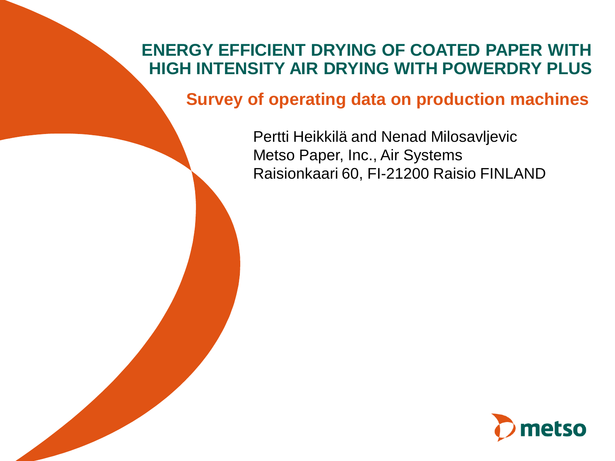# **ENERGY EFFICIENT DRYING OF COATED PAPER WITH HIGH INTENSITY AIR DRYING WITH POWERDRY PLUS**

**Survey of operating data on production machines**

Pertti Heikkilä and Nenad Milosavljevic Metso Paper, Inc., Air Systems Raisionkaari 60, FI-21200 Raisio FINLAND

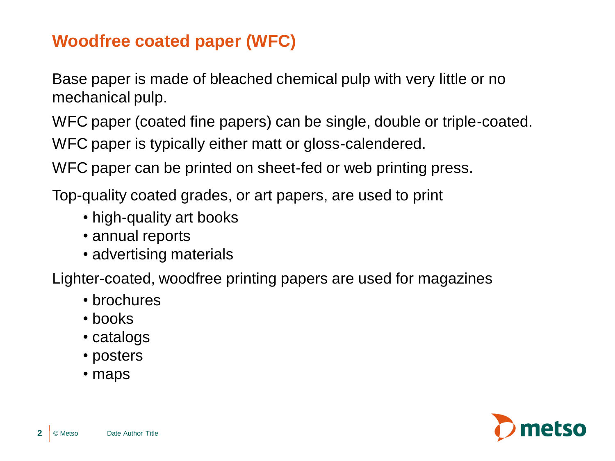# **Woodfree coated paper (WFC)**

Base paper is made of bleached chemical pulp with very little or no mechanical pulp.

WFC paper (coated fine papers) can be single, double or triple-coated. WFC paper is typically either matt or gloss-calendered.

WFC paper can be printed on sheet-fed or web printing press.

Top-quality coated grades, or art papers, are used to print

- high-quality art books
- annual reports
- advertising materials

Lighter-coated, woodfree printing papers are used for magazines

- brochures
- books
- catalogs
- posters
- maps

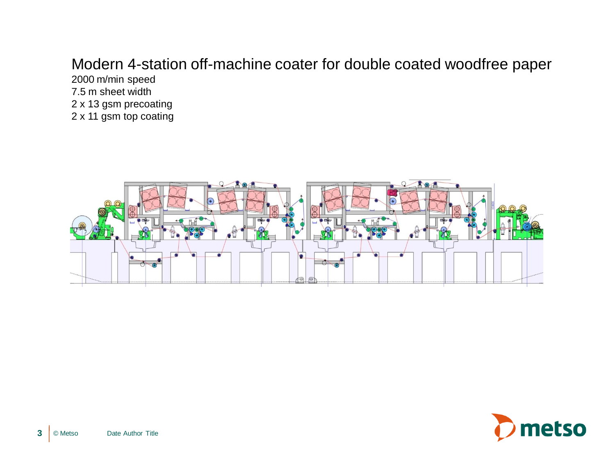# Modern 4-station off-machine coater for double coated woodfree paper

2000 m/min speed 7.5 m sheet width 2 x 13 gsm precoating 2 x 11 gsm top coating



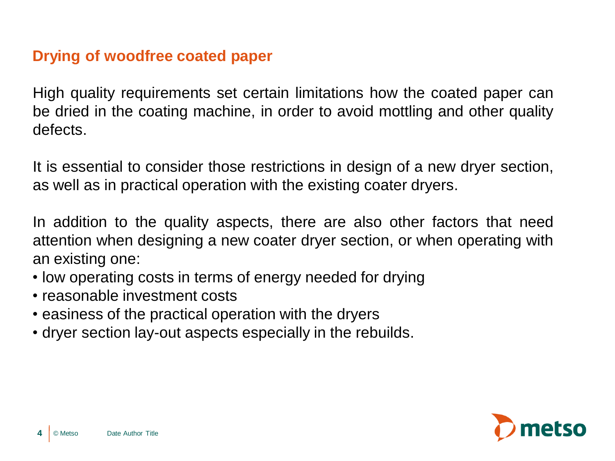### **Drying of woodfree coated paper**

High quality requirements set certain limitations how the coated paper can be dried in the coating machine, in order to avoid mottling and other quality defects.

It is essential to consider those restrictions in design of a new dryer section, as well as in practical operation with the existing coater dryers.

In addition to the quality aspects, there are also other factors that need attention when designing a new coater dryer section, or when operating with an existing one:

- low operating costs in terms of energy needed for drying
- reasonable investment costs
- easiness of the practical operation with the dryers
- dryer section lay-out aspects especially in the rebuilds.

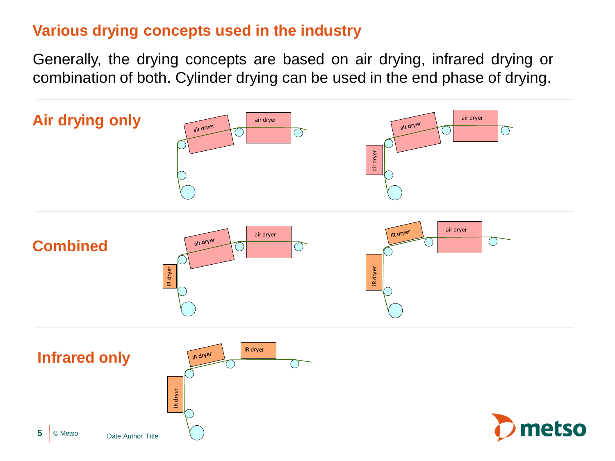## **Various drying concepts used in the industry**

Generally, the drying concepts are based on air drying, infrared drying or combination of both. Cylinder drying can be used in the end phase of drying.

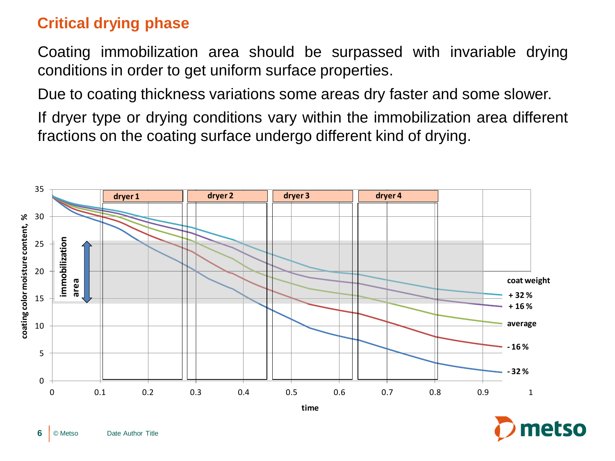## **Critical drying phase**

Coating immobilization area should be surpassed with invariable drying conditions in order to get uniform surface properties.

Due to coating thickness variations some areas dry faster and some slower.

If dryer type or drying conditions vary within the immobilization area different fractions on the coating surface undergo different kind of drying.



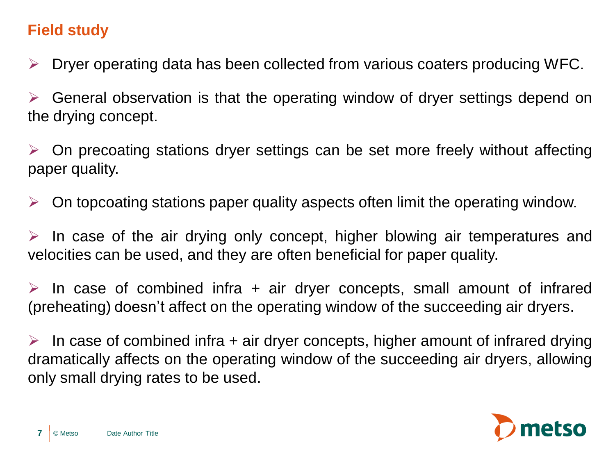# **Field study**

 $\triangleright$  Dryer operating data has been collected from various coaters producing WFC.

 $\triangleright$  General observation is that the operating window of dryer settings depend on the drying concept.

 $\triangleright$  On precoating stations dryer settings can be set more freely without affecting paper quality.

 $\triangleright$  On topcoating stations paper quality aspects often limit the operating window.

 $\triangleright$  In case of the air drying only concept, higher blowing air temperatures and velocities can be used, and they are often beneficial for paper quality.

 $\triangleright$  In case of combined infra + air dryer concepts, small amount of infrared (preheating) doesn't affect on the operating window of the succeeding air dryers.

 $\triangleright$  In case of combined infra + air dryer concepts, higher amount of infrared drying dramatically affects on the operating window of the succeeding air dryers, allowing only small drying rates to be used.

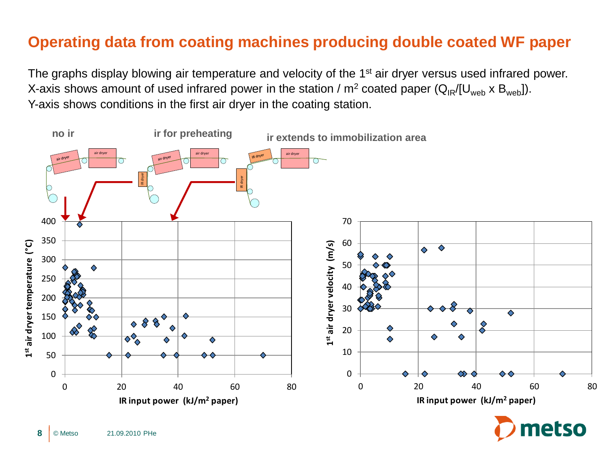## **Operating data from coating machines producing double coated WF paper**

The graphs display blowing air temperature and velocity of the 1<sup>st</sup> air dryer versus used infrared power. X-axis shows amount of used infrared power in the station /  $m^2$  coated paper ( $Q_{IR}/[U_{web} \times B_{web}]$ ). Y-axis shows conditions in the first air dryer in the coating station.



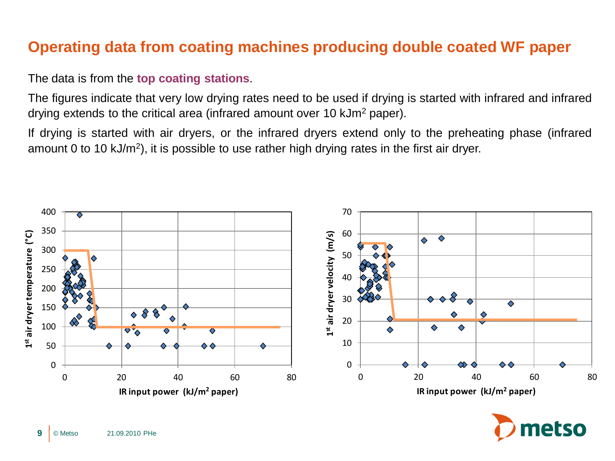### **Operating data from coating machines producing double coated WF paper**

#### The data is from the **top coating stations**.

The figures indicate that very low drying rates need to be used if drying is started with infrared and infrared drying extends to the critical area (infrared amount over 10 kJm<sup>2</sup> paper).

If drying is started with air dryers, or the infrared dryers extend only to the preheating phase (infrared amount 0 to 10 kJ/m<sup>2</sup>), it is possible to use rather high drying rates in the first air dryer.



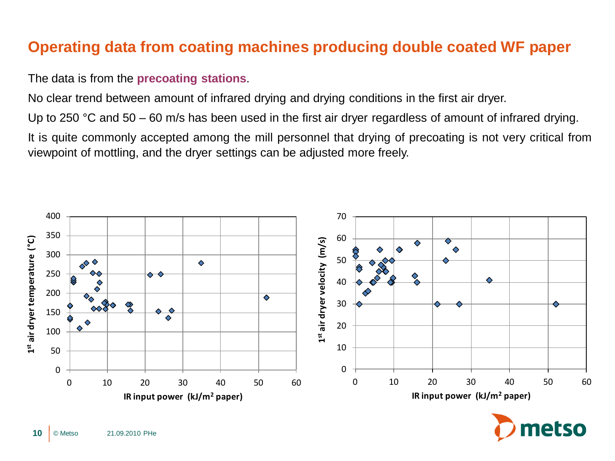## **Operating data from coating machines producing double coated WF paper**

#### The data is from the **precoating stations**.

No clear trend between amount of infrared drying and drying conditions in the first air dryer.

Up to 250 °C and 50 – 60 m/s has been used in the first air dryer regardless of amount of infrared drying.

It is quite commonly accepted among the mill personnel that drying of precoating is not very critical from viewpoint of mottling, and the dryer settings can be adjusted more freely.



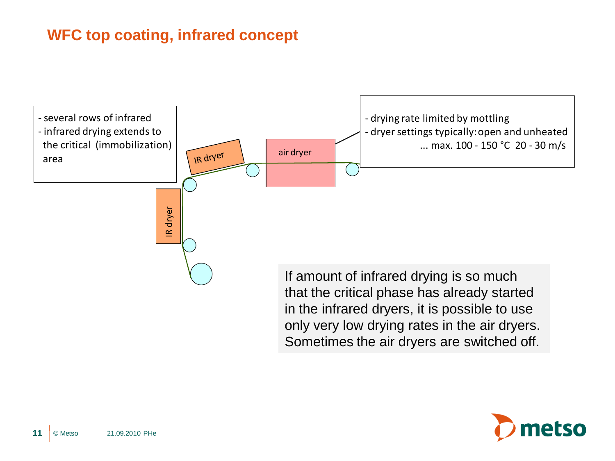## **WFC top coating, infrared concept**



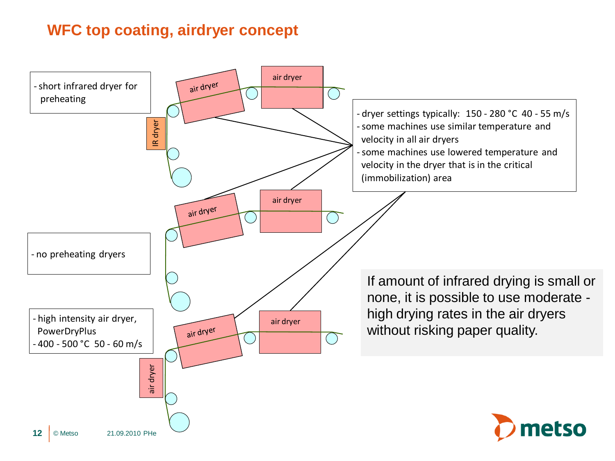## **WFC top coating, airdryer concept**

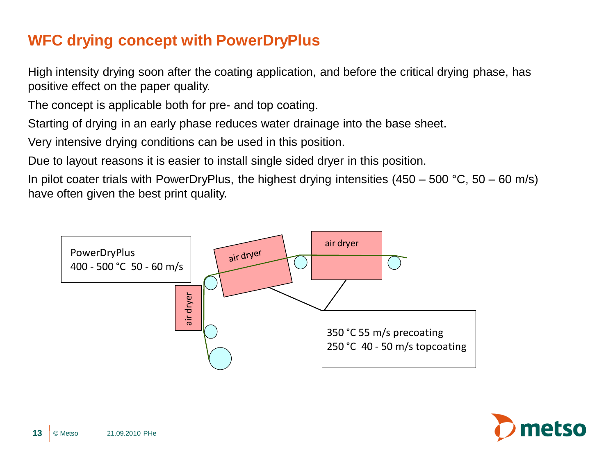# **WFC drying concept with PowerDryPlus**

High intensity drying soon after the coating application, and before the critical drying phase, has positive effect on the paper quality.

The concept is applicable both for pre- and top coating.

Starting of drying in an early phase reduces water drainage into the base sheet.

Very intensive drying conditions can be used in this position.

Due to layout reasons it is easier to install single sided dryer in this position.

In pilot coater trials with PowerDryPlus, the highest drying intensities  $(450 - 500 \degree C, 50 - 60 \degree m/s)$ have often given the best print quality.



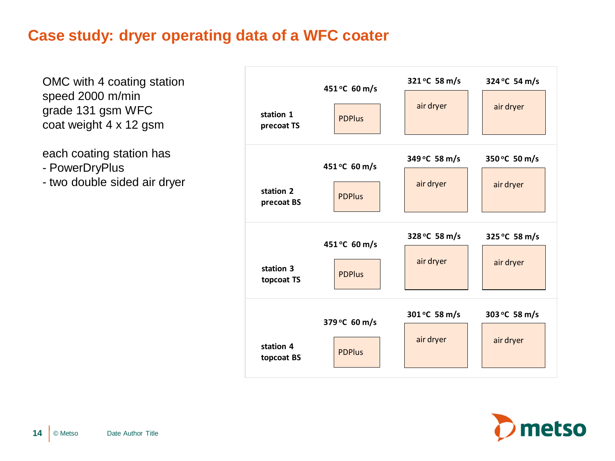#### **Case study: dryer operating data of a WFC coater**

OMC with 4 coating station speed 2000 m/min grade 131 gsm WFC coat weight 4 x 12 gsm

each coating station has

- PowerDryPlus
- two double sided air dryer



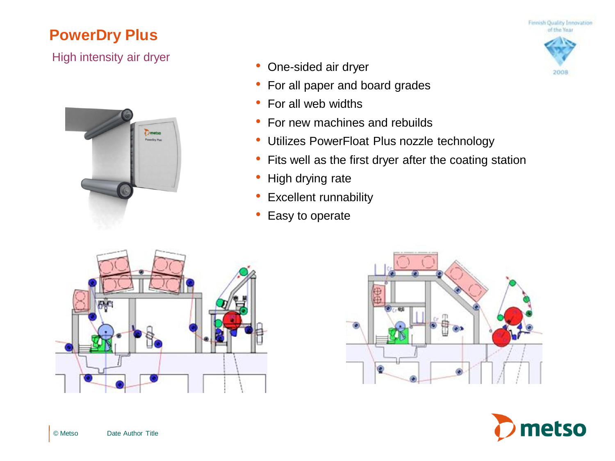### **PowerDry Plus**

#### High intensity air dryer



- One-sided air dryer
- For all paper and board grades
- For all web widths
- For new machines and rebuilds
- Utilizes PowerFloat Plus nozzle technology
- Fits well as the first dryer after the coating station
- High drying rate
- Excellent runnability
- Easy to operate







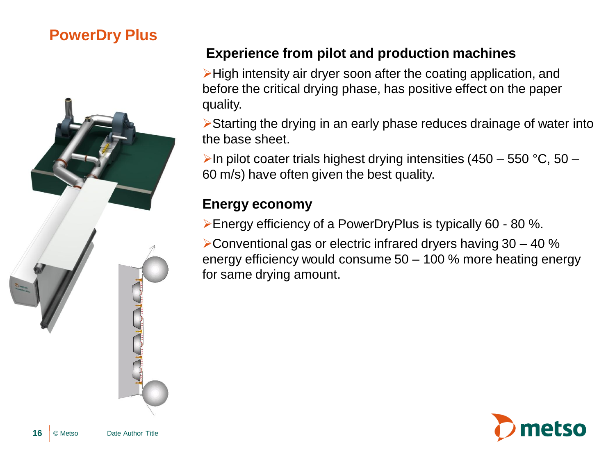## **PowerDry Plus**



#### **Experience from pilot and production machines**

High intensity air dryer soon after the coating application, and before the critical drying phase, has positive effect on the paper quality.

Starting the drying in an early phase reduces drainage of water into the base sheet.

In pilot coater trials highest drying intensities  $(450 - 550 \degree C, 50 - 100)$ 60 m/s) have often given the best quality.

#### **Energy economy**

Energy efficiency of a PowerDryPlus is typically 60 - 80 %.

 $\blacktriangleright$  Conventional gas or electric infrared dryers having 30 – 40 % energy efficiency would consume 50 – 100 % more heating energy for same drying amount.

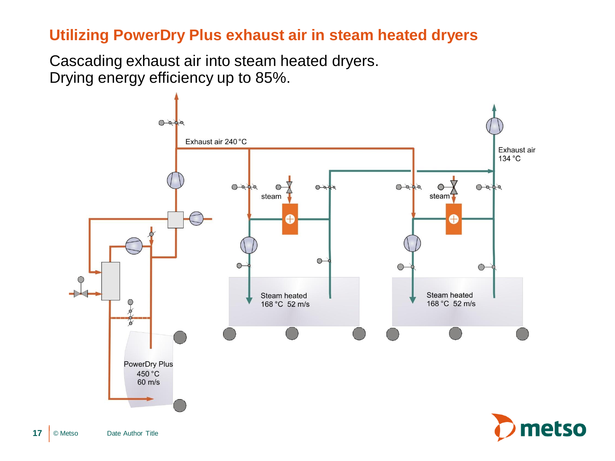#### **Utilizing PowerDry Plus exhaust air in steam heated dryers**

Cascading exhaust air into steam heated dryers. Drying energy efficiency up to 85%.